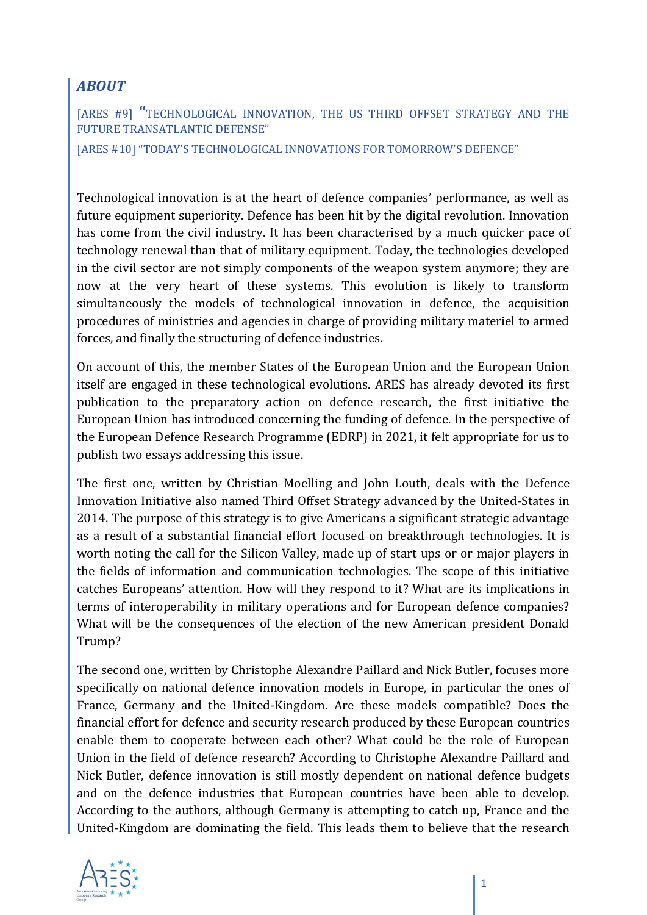## *ABOUT*

[ARES #9] **"**TECHNOLOGICAL INNOVATION, THE US THIRD OFFSET STRATEGY AND THE FUTURE TRANSATLANTIC DEFENSE"

[ARES #10] "TODAY'S TECHNOLOGICAL INNOVATIONS FOR TOMORROW'S DEFENCE"

Technological innovation is at the heart of defence companies' performance, as well as future equipment superiority. Defence has been hit by the digital revolution. Innovation has come from the civil industry. It has been characterised by a much quicker pace of technology renewal than that of military equipment. Today, the technologies developed in the civil sector are not simply components of the weapon system anymore; they are now at the very heart of these systems. This evolution is likely to transform simultaneously the models of technological innovation in defence, the acquisition procedures of ministries and agencies in charge of providing military materiel to armed forces, and finally the structuring of defence industries.

On account of this, the member States of the European Union and the European Union itself are engaged in these technological evolutions. ARES has already devoted its first publication to the preparatory action on defence research, the first initiative the European Union has introduced concerning the funding of defence. In the perspective of the European Defence Research Programme (EDRP) in 2021, it felt appropriate for us to publish two essays addressing this issue.

The first one, written by Christian Moelling and John Louth, deals with the Defence Innovation Initiative also named Third Offset Strategy advanced by the United-States in 2014. The purpose of this strategy is to give Americans a significant strategic advantage as a result of a substantial financial effort focused on breakthrough technologies. It is worth noting the call for the Silicon Valley, made up of start ups or or major players in the fields of information and communication technologies. The scope of this initiative catches Europeans' attention. How will they respond to it? What are its implications in terms of interoperability in military operations and for European defence companies? What will be the consequences of the election of the new American president Donald Trump?

The second one, written by Christophe Alexandre Paillard and Nick Butler, focuses more specifically on national defence innovation models in Europe, in particular the ones of France, Germany and the United-Kingdom. Are these models compatible? Does the financial effort for defence and security research produced by these European countries enable them to cooperate between each other? What could be the role of European Union in the field of defence research? According to Christophe Alexandre Paillard and Nick Butler, defence innovation is still mostly dependent on national defence budgets and on the defence industries that European countries have been able to develop. According to the authors, although Germany is attempting to catch up, France and the United-Kingdom are dominating the field. This leads them to believe that the research